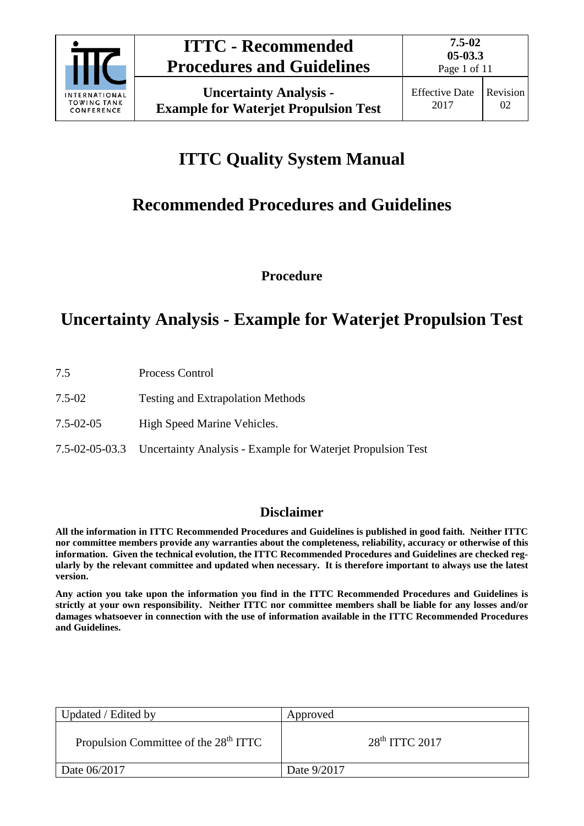

Page 1 of 11

# **ITTC Quality System Manual**

# **Recommended Procedures and Guidelines**

**Procedure**

# **Uncertainty Analysis - Example for Waterjet Propulsion Test**

- 7.5 Process Control
- 7.5-02 Testing and Extrapolation Methods
- 7.5-02-05 High Speed Marine Vehicles.
- 7.5-02-05-03.3 Uncertainty Analysis Example for Waterjet Propulsion Test

### **Disclaimer**

**All the information in ITTC Recommended Procedures and Guidelines is published in good faith. Neither ITTC nor committee members provide any warranties about the completeness, reliability, accuracy or otherwise of this information. Given the technical evolution, the ITTC Recommended Procedures and Guidelines are checked regularly by the relevant committee and updated when necessary. It is therefore important to always use the latest version.**

**Any action you take upon the information you find in the ITTC Recommended Procedures and Guidelines is strictly at your own responsibility. Neither ITTC nor committee members shall be liable for any losses and/or damages whatsoever in connection with the use of information available in the ITTC Recommended Procedures and Guidelines.**

| Updated / Edited by                               | Approved         |
|---------------------------------------------------|------------------|
| Propulsion Committee of the 28 <sup>th</sup> ITTC | $28th$ ITTC 2017 |
| Date 06/2017                                      | Date 9/2017      |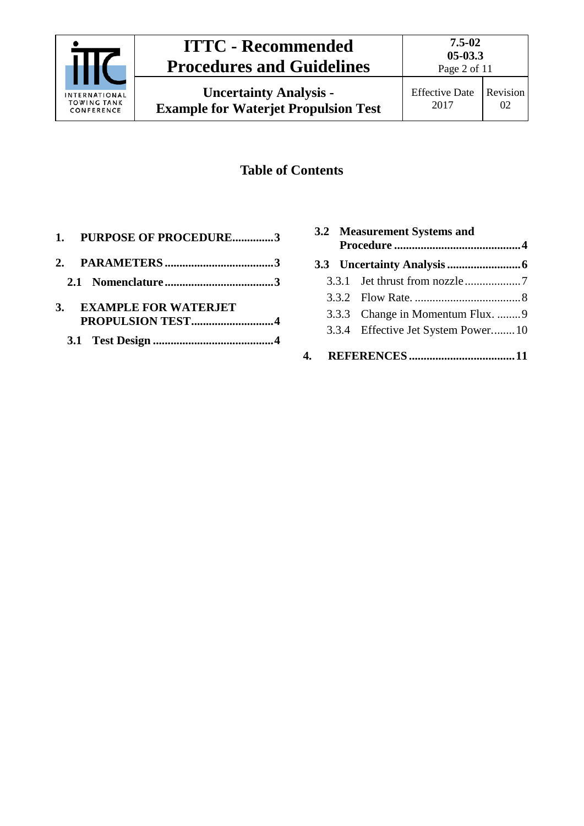

# **ITTC - Recommended Procedures and Guidelines**

**Uncertainty Analysis - Example for Waterjet Propulsion Test** **7.5-02**

## **Table of Contents**

| 1. PURPOSE OF PROCEDURE3 |  |
|--------------------------|--|
|                          |  |
|                          |  |
| 3. EXAMPLE FOR WATERJET  |  |
|                          |  |
|                          |  |

|    | 3.2 Measurement Systems and        |  |
|----|------------------------------------|--|
|    |                                    |  |
|    |                                    |  |
|    |                                    |  |
|    | 3.3.3 Change in Momentum Flux. 9   |  |
|    | 3.3.4 Effective Jet System Power10 |  |
| 4. |                                    |  |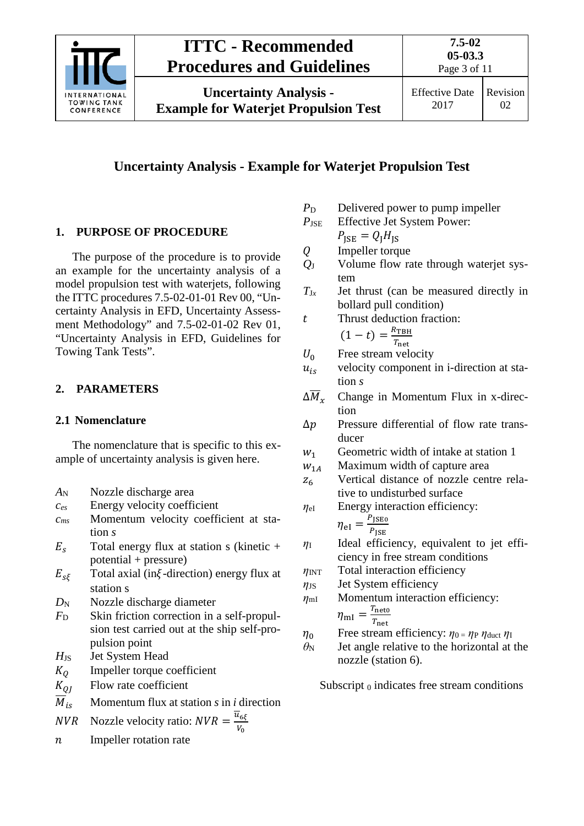

## **ITTC - Recommended Procedures and Guidelines**

**Uncertainty Analysis - Example for Waterjet Propulsion Test** **7.5-02**

## **Uncertainty Analysis - Example for Waterjet Propulsion Test**

## <span id="page-2-0"></span>**1. PURPOSE OF PROCEDURE**

The purpose of the procedure is to provide an example for the uncertainty analysis of a model propulsion test with waterjets, following the ITTC procedures 7.5-02-01-01 Rev 00, "Uncertainty Analysis in EFD, Uncertainty Assessment Methodology" and 7.5-02-01-02 Rev 01, "Uncertainty Analysis in EFD, Guidelines for Towing Tank Tests".

### <span id="page-2-2"></span><span id="page-2-1"></span>**2. PARAMETERS**

### **2.1 Nomenclature**

The nomenclature that is specific to this example of uncertainty analysis is given here.

- *A*<sup>N</sup> Nozzle discharge area
- *ces* Energy velocity coefficient
- *cms* Momentum velocity coefficient at station *s*
- $E_s$  Total energy flux at station s (kinetic + potential + pressure)
- $E_{s\xi}$  Total axial (in $\xi$ -direction) energy flux at station s
- *D*<sub>N</sub> Nozzle discharge diameter
- *F*<sup>D</sup> Skin friction correction in a self-propulsion test carried out at the ship self-propulsion point
- *H*JS Jet System Head
- $K_Q$  Impeller torque coefficient<br> $K_{QI}$  Flow rate coefficient
- Flow rate coefficient
- $\overline{M}_{is}$  Momentum flux at station *s* in *i* direction

*NVR* Nozzle velocity ratio: 
$$
NVR = \frac{u_{6\xi}}{v_0}
$$

 $n$  Impeller rotation rate

- *P*<sub>D</sub> Delivered power to pump impeller
- *P*<sub>JSE</sub> Effective Jet System Power:

 $P_{\text{ISF}} = Q_{\text{I}}H_{\text{IS}}$ 

- $Q$  Impeller torque<br> $Q_J$  Volume flow ra
- Volume flow rate through waterjet system
- $T_{Jx}$  Jet thrust (can be measured directly in bollard pull condition)
- t Thrust deduction fraction:<br> $(1 + t) = {R_{\text{TBH}} \over R_{\text{TBH}}}$

$$
(1-t) = \frac{R_{\text{TBH}}}{T_{\text{net}}}
$$

- 
- $U_0$  Free stream velocity<br> $u_{is}$  velocity component velocity component in i-direction at station *s*
- $\Delta \overline{M}_{x}$  Change in Momentum Flux in x-direction
- $\Delta p$  Pressure differential of flow rate transducer
- $w_1$  Geometric width of intake at station 1<br> $w_{1A}$  Maximum width of capture area
- Maximum width of capture area
- $z_6$  Vertical distance of nozzle centre relative to undisturbed surface
- *η*eI Energy interaction efficiency:  $\eta_{\text{el}} = \frac{P_{\text{JSE0}}}{P}$  $P_{\text{ISE}}$
- *η*<sup>I</sup> Ideal efficiency, equivalent to jet efficiency in free stream conditions
- *η*<sub>INT</sub> Total interaction efficiency
- $η<sub>JS</sub>$  Jet System efficiency

$$
\eta_{\text{ml}} \qquad \text{Momentum interaction efficiency:}
$$
  

$$
\eta_{\text{ml}} = \frac{T_{\text{net}}}{T_{\text{net}}}
$$

$$
\eta_0
$$
 Free stream efficiency:  $\eta_0 = \eta_P \eta_{\text{duct}} \eta_I$ 

 $\theta_N$  Jet angle relative to the horizontal at the nozzle (station 6).

Subscript  $_0$  indicates free stream conditions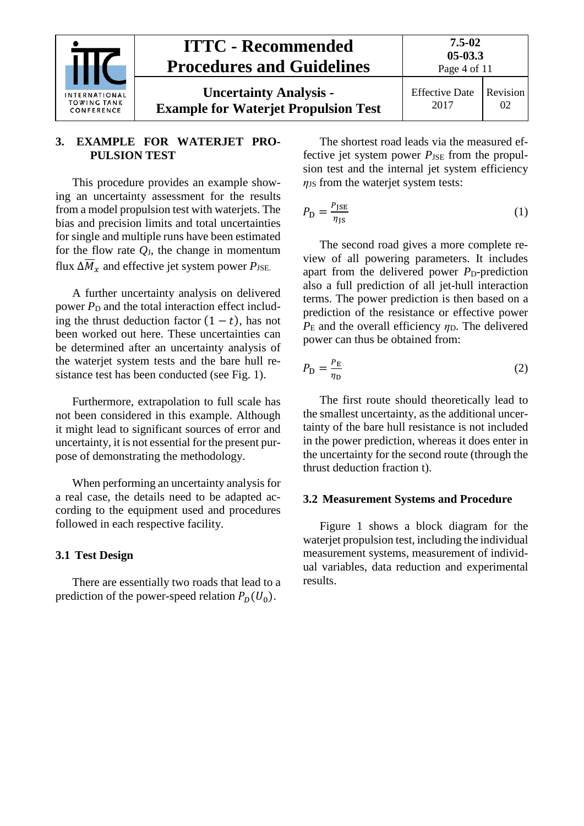

### <span id="page-3-0"></span>**3. EXAMPLE FOR WATERJET PRO-PULSION TEST**

This procedure provides an example showing an uncertainty assessment for the results from a model propulsion test with waterjets. The bias and precision limits and total uncertainties for single and multiple runs have been estimated for the flow rate *Q*J, the change in momentum flux  $\Delta M_x$  and effective jet system power  $P_{\text{JSE}}$ .

A further uncertainty analysis on delivered power  $P_D$  and the total interaction effect including the thrust deduction factor  $(1 - t)$ , has not been worked out here. These uncertainties can be determined after an uncertainty analysis of the waterjet system tests and the bare hull resistance test has been conducted (see Fig. 1).

Furthermore, extrapolation to full scale has not been considered in this example. Although it might lead to significant sources of error and uncertainty, it is not essential for the present purpose of demonstrating the methodology.

When performing an uncertainty analysis for a real case, the details need to be adapted according to the equipment used and procedures followed in each respective facility.

#### <span id="page-3-1"></span>**3.1 Test Design**

There are essentially two roads that lead to a prediction of the power-speed relation  $P_D(U_0)$ .

The shortest road leads via the measured effective jet system power  $P_{\text{JSE}}$  from the propulsion test and the internal jet system efficiency  $\eta$ <sub>JS</sub> from the waterjet system tests:

$$
P_{\rm D} = \frac{P_{\rm JSE}}{\eta_{\rm JS}}\tag{1}
$$

The second road gives a more complete review of all powering parameters. It includes apart from the delivered power  $P<sub>D</sub>$ -prediction also a full prediction of all jet-hull interaction terms. The power prediction is then based on a prediction of the resistance or effective power  $P<sub>E</sub>$  and the overall efficiency  $\eta<sub>D</sub>$ . The delivered power can thus be obtained from:

$$
P_{\rm D} = \frac{P_{\rm E}}{\eta_{\rm D}}\tag{2}
$$

The first route should theoretically lead to the smallest uncertainty, as the additional uncertainty of the bare hull resistance is not included in the power prediction, whereas it does enter in the uncertainty for the second route (through the thrust deduction fraction t).

#### <span id="page-3-2"></span>**3.2 Measurement Systems and Procedure**

Figure 1 shows a block diagram for the waterjet propulsion test, including the individual measurement systems, measurement of individual variables, data reduction and experimental results.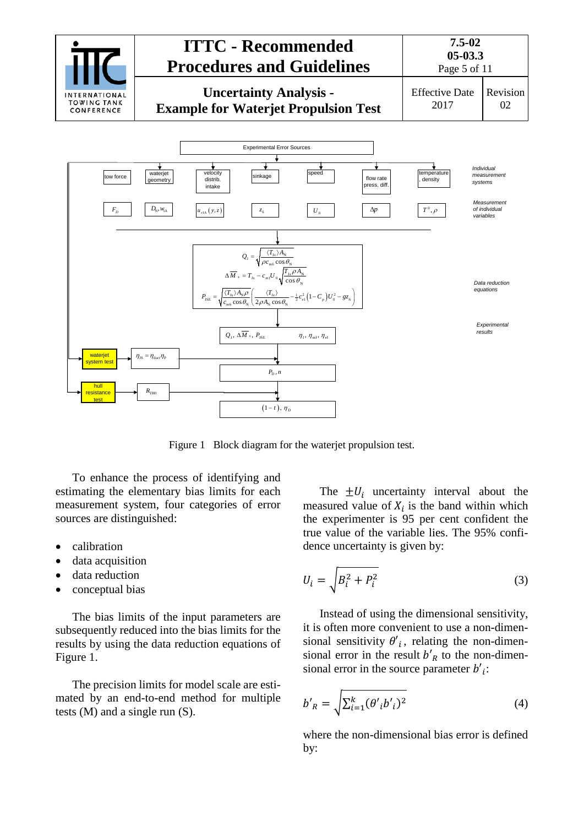

Figure 1 Block diagram for the waterjet propulsion test.

To enhance the process of identifying and estimating the elementary bias limits for each measurement system, four categories of error sources are distinguished:

- calibration
- data acquisition
- data reduction
- conceptual bias

The bias limits of the input parameters are subsequently reduced into the bias limits for the results by using the data reduction equations of Figure 1.

The precision limits for model scale are estimated by an end-to-end method for multiple tests (M) and a single run (S).

The  $\pm U_i$  uncertainty interval about the measured value of  $X_i$  is the band within which the experimenter is 95 per cent confident the true value of the variable lies. The 95% confidence uncertainty is given by:

$$
U_i = \sqrt{B_i^2 + P_i^2} \tag{3}
$$

Instead of using the dimensional sensitivity, it is often more convenient to use a non-dimensional sensitivity  $\theta'_{i}$ , relating the non-dimensional error in the result  $b'_{R}$  to the non-dimensional error in the source parameter  $b'$ <sub>i</sub>:

$$
b'_{R} = \sqrt{\sum_{i=1}^{k} (\theta'_{i} b'_{i})^{2}}
$$
 (4)

where the non-dimensional bias error is defined by: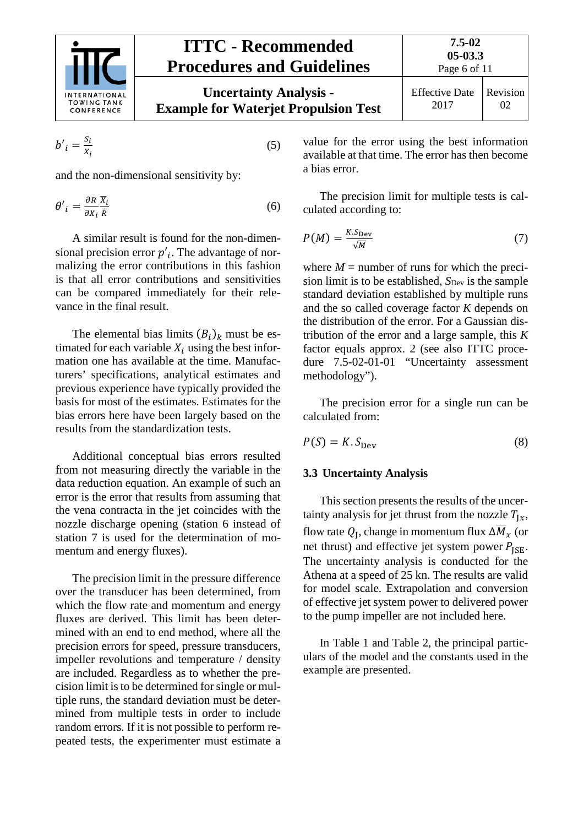

$$
b'_{i} = \frac{s_{i}}{x_{i}} \tag{5}
$$

and the non-dimensional sensitivity by:

$$
\theta'_{i} = \frac{\partial R}{\partial x_{i}} \frac{\overline{X}_{i}}{\overline{R}}
$$
 (6)

A similar result is found for the non-dimensional precision error  $p'$ . The advantage of normalizing the error contributions in this fashion is that all error contributions and sensitivities can be compared immediately for their relevance in the final result.

The elemental bias limits  $(B_i)_k$  must be estimated for each variable  $X_i$  using the best information one has available at the time. Manufacturers' specifications, analytical estimates and previous experience have typically provided the basis for most of the estimates. Estimates for the bias errors here have been largely based on the results from the standardization tests.

Additional conceptual bias errors resulted from not measuring directly the variable in the data reduction equation. An example of such an error is the error that results from assuming that the vena contracta in the jet coincides with the nozzle discharge opening (station 6 instead of station 7 is used for the determination of momentum and energy fluxes).

The precision limit in the pressure difference over the transducer has been determined, from which the flow rate and momentum and energy fluxes are derived. This limit has been determined with an end to end method, where all the precision errors for speed, pressure transducers, impeller revolutions and temperature / density are included. Regardless as to whether the precision limit is to be determined for single or multiple runs, the standard deviation must be determined from multiple tests in order to include random errors. If it is not possible to perform repeated tests, the experimenter must estimate a value for the error using the best information available at that time. The error has then become a bias error.

The precision limit for multiple tests is calculated according to:

$$
P(M) = \frac{K \cdot S_{\text{Dev}}}{\sqrt{M}} \tag{7}
$$

where  $M =$  number of runs for which the precision limit is to be established,  $S_{Dev}$  is the sample standard deviation established by multiple runs and the so called coverage factor *K* depends on the distribution of the error. For a Gaussian distribution of the error and a large sample, this *K* factor equals approx. 2 (see also ITTC procedure 7.5-02-01-01 "Uncertainty assessment methodology").

The precision error for a single run can be calculated from:

<span id="page-5-0"></span>
$$
P(S) = K.S_{\text{Dev}} \tag{8}
$$

#### **3.3 Uncertainty Analysis**

This section presents the results of the uncertainty analysis for jet thrust from the nozzle  $T_{1x}$ , flow rate  $Q_I$ , change in momentum flux  $\Delta M_x$  (or net thrust) and effective jet system power  $P_{\text{ISE}}$ . The uncertainty analysis is conducted for the Athena at a speed of 25 kn. The results are valid for model scale. Extrapolation and conversion of effective jet system power to delivered power to the pump impeller are not included here.

In Table 1 and Table 2, the principal particulars of the model and the constants used in the example are presented.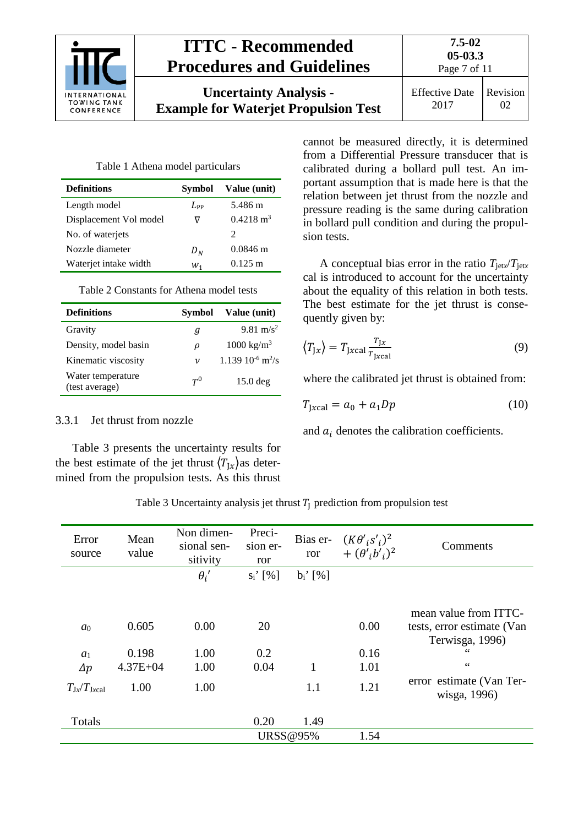|                                                          | <b>ITTC - Recommended</b><br><b>Procedures and Guidelines</b>                | $7.5 - 02$<br>$05-03.3$<br>Page 7 of 11 |                |
|----------------------------------------------------------|------------------------------------------------------------------------------|-----------------------------------------|----------------|
| <b>INTERNATIONAL</b><br><b>TOWING TANK</b><br>CONFERENCE | <b>Uncertainty Analysis -</b><br><b>Example for Waterjet Propulsion Test</b> | <b>Effective Date</b><br>2017           | Revision<br>02 |

Table 1 Athena model particulars

| <b>Definitions</b>     | Symbol   | Value (unit)         |
|------------------------|----------|----------------------|
| Length model           | $L_{PP}$ | 5.486 m              |
| Displacement Vol model |          | $0.4218 \text{ m}^3$ |
| No. of waterjets       |          | 2                    |
| Nozzle diameter        | $D_N$    | $0.0846 \text{ m}$   |
| Waterjet intake width  | $W_1$    | $0.125 \text{ m}$    |

Table 2 Constants for Athena model tests

| <b>Definitions</b>                  | Symbol             | Value (unit)                       |
|-------------------------------------|--------------------|------------------------------------|
| Gravity                             | Я                  | 9.81 m/s <sup>2</sup>              |
| Density, model basin                | ρ                  | $1000 \text{ kg/m}^3$              |
| Kinematic viscosity                 | $\boldsymbol{\nu}$ | $1.139\ 10^{-6}$ m <sup>2</sup> /s |
| Water temperature<br>(test average) | $T^0$              | $15.0$ deg                         |

#### <span id="page-6-0"></span>3.3.1 Jet thrust from nozzle

Table 3 presents the uncertainty results for the best estimate of the jet thrust  $\langle T_{Jx} \rangle$ as determined from the propulsion tests. As this thrust

cannot be measured directly, it is determined from a Differential Pressure transducer that is calibrated during a bollard pull test. An important assumption that is made here is that the relation between jet thrust from the nozzle and pressure reading is the same during calibration in bollard pull condition and during the propulsion tests.

A conceptual bias error in the ratio  $T_{\text{jet}x}/T_{\text{jet}x}$ cal is introduced to account for the uncertainty about the equality of this relation in both tests. The best estimate for the jet thrust is consequently given by:

$$
\left\langle T_{\text{J}x} \right\rangle = T_{\text{J}x \text{cal}} \frac{T_{\text{J}x}}{T_{\text{J}x \text{cal}}}
$$
\n<sup>(9)</sup>

where the calibrated jet thrust is obtained from:

$$
T_{\text{Jxcal}} = a_0 + a_1 D p \tag{10}
$$

and  $a_i$  denotes the calibration coefficients.

| Error<br>source    | Mean<br>value | Non dimen-<br>sional sen-<br>sitivity | Preci-<br>sion er-<br>ror | Bias er-<br>ror | $(K\theta'_{i} s'_{i})^2$<br>+ $(\theta'_{i}b'_{i})^{2}$ | Comments                                 |
|--------------------|---------------|---------------------------------------|---------------------------|-----------------|----------------------------------------------------------|------------------------------------------|
|                    |               | $\theta_i'$                           | $s_i'$ [%]                | $b_i'$ [%]      |                                                          |                                          |
|                    |               |                                       |                           |                 |                                                          |                                          |
|                    |               |                                       |                           |                 |                                                          | mean value from ITTC-                    |
| a <sub>0</sub>     | 0.605         | 0.00                                  | 20                        |                 | 0.00                                                     | tests, error estimate (Van               |
|                    |               |                                       |                           |                 |                                                          | Terwisga, 1996)                          |
| a <sub>1</sub>     | 0.198         | 1.00                                  | 0.2                       |                 | 0.16                                                     | 66                                       |
| $\Delta p$         | $4.37E + 04$  | 1.00                                  | 0.04                      | 1               | 1.01                                                     | $\zeta$ $\zeta$                          |
| $T_{Jx}/T_{Jxcal}$ | 1.00          | 1.00                                  |                           | 1.1             | 1.21                                                     | error estimate (Van Ter-<br>wisga, 1996) |
| Totals             |               |                                       | 0.20                      | 1.49            |                                                          |                                          |
|                    |               |                                       |                           | <b>URSS@95%</b> | 1.54                                                     |                                          |

Table 3 Uncertainty analysis jet thrust  $T_I$  prediction from propulsion test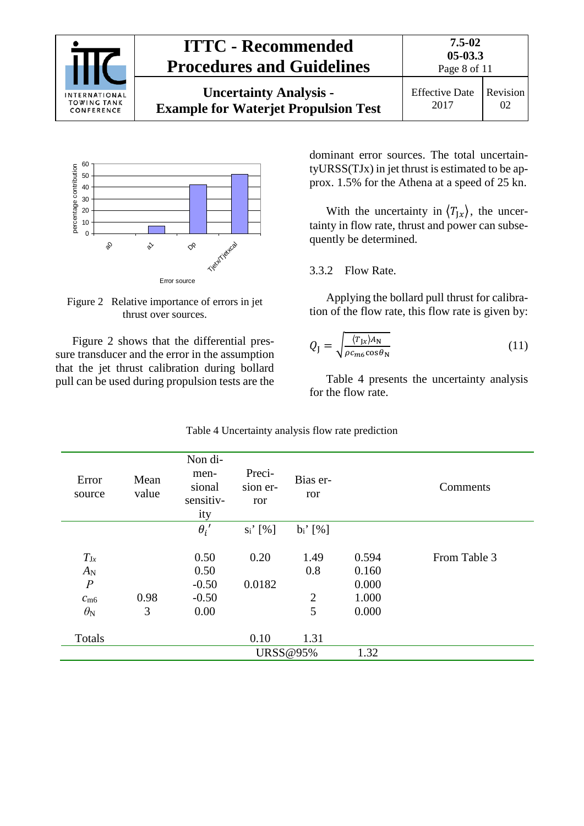| INTERNATIONAL<br><b>TOWING TANK</b><br>CONFERENCE | <b>ITTC - Recommended</b><br><b>Procedures and Guidelines</b>                | 7.5-02<br>$05-03.3$<br>Page 8 of 11 |                |
|---------------------------------------------------|------------------------------------------------------------------------------|-------------------------------------|----------------|
|                                                   | <b>Uncertainty Analysis -</b><br><b>Example for Waterjet Propulsion Test</b> | <b>Effective Date</b><br>2017       | Revision<br>02 |



<span id="page-7-1"></span>Figure 2 Relative importance of errors in jet thrust over sources.

[Figure 2](#page-7-1) shows that the differential pressure transducer and the error in the assumption that the jet thrust calibration during bollard pull can be used during propulsion tests are the dominant error sources. The total uncertaintyURSS(TJx) in jet thrust is estimated to be approx. 1.5% for the Athena at a speed of 25 kn.

With the uncertainty in  $\langle T_{Jx} \rangle$ , the uncertainty in flow rate, thrust and power can subsequently be determined.

#### <span id="page-7-0"></span>3.3.2 Flow Rate.

Applying the bollard pull thrust for calibration of the flow rate, this flow rate is given by:

$$
Q_{\rm J} = \sqrt{\frac{\langle T_{\rm Jx} \rangle A_{\rm N}}{\rho c_{\rm m6} \cos \theta_{\rm N}}}
$$
(11)

Table 4 presents the uncertainty analysis for the flow rate.

| Error<br>source  | Mean<br>value | Non di-<br>men-<br>sional<br>sensitiv-<br>ity | Preci-<br>sion er-<br>ror | Bias er-<br>ror |       | Comments     |
|------------------|---------------|-----------------------------------------------|---------------------------|-----------------|-------|--------------|
|                  |               | $\theta_i'$                                   | $s_i'$ [%]                | $b_i'$ [%]      |       |              |
| $T_{\rm Jx}$     |               | 0.50                                          | 0.20                      | 1.49            | 0.594 | From Table 3 |
| $A_N$            |               | 0.50                                          |                           | 0.8             | 0.160 |              |
| $\boldsymbol{P}$ |               | $-0.50$                                       | 0.0182                    |                 | 0.000 |              |
| $c_{\text{m6}}$  | 0.98          | $-0.50$                                       |                           | $\overline{2}$  | 1.000 |              |
| $\theta_{\rm N}$ | 3             | 0.00                                          |                           | 5               | 0.000 |              |
| Totals           |               |                                               | 0.10                      | 1.31            |       |              |
|                  |               |                                               |                           | <b>URSS@95%</b> | 1.32  |              |

| Table 4 Uncertainty analysis flow rate prediction |  |  |
|---------------------------------------------------|--|--|
|                                                   |  |  |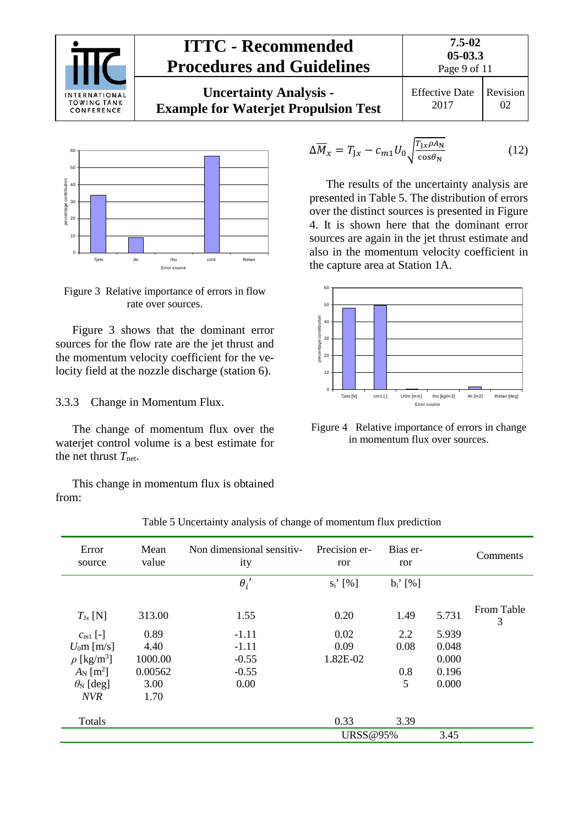



Figure 3 Relative importance of errors in flow rate over sources.

Figure 3 shows that the dominant error sources for the flow rate are the jet thrust and the momentum velocity coefficient for the velocity field at the nozzle discharge (station 6).

<span id="page-8-0"></span>3.3.3 Change in Momentum Flux.

The change of momentum flux over the waterjet control volume is a best estimate for the net thrust  $T_{\text{net}}$ .

This change in momentum flux is obtained from:

$$
\Delta \overline{M}_x = T_{Jx} - c_{m1} U_0 \sqrt{\frac{T_{Jx} \rho A_N}{\cos \theta_N}}
$$
(12)

The results of the uncertainty analysis are presented in Table 5. The distribution of errors over the distinct sources is presented in Figure 4. It is shown here that the dominant error sources are again in the jet thrust estimate and also in the momentum velocity coefficient in the capture area at Station 1A.



Figure 4 Relative importance of errors in change in momentum flux over sources.

| Error<br>source             | Mean<br>value | Non dimensional sensitiv-<br>ity | Precision er-<br>ror   | Bias er-<br>ror        |       | Comments        |
|-----------------------------|---------------|----------------------------------|------------------------|------------------------|-------|-----------------|
|                             |               | $\theta_i'$                      | $s_i$ <sup>'</sup> [%] | $b_i$ <sup>'</sup> [%] |       |                 |
| $T_{\text{Jx}}$ [N]         | 313.00        | 1.55                             | 0.20                   | 1.49                   | 5.731 | From Table<br>3 |
| $c_{m1}$ [-]                | 0.89          | $-1.11$                          | 0.02                   | 2.2                    | 5.939 |                 |
| $U_0$ m [m/s]               | 4.40          | $-1.11$                          | 0.09                   | 0.08                   | 0.048 |                 |
| $\rho$ [kg/m <sup>3</sup> ] | 1000.00       | $-0.55$                          | 1.82E-02               |                        | 0.000 |                 |
| $A_N$ [m <sup>2</sup> ]     | 0.00562       | $-0.55$                          |                        | 0.8                    | 0.196 |                 |
| $\theta_N$ [deg]            | 3.00          | 0.00                             |                        | 5                      | 0.000 |                 |
| <b>NVR</b>                  | 1.70          |                                  |                        |                        |       |                 |
| Totals                      |               |                                  | 0.33                   | 3.39                   |       |                 |
|                             |               |                                  | <b>URSS@95%</b>        |                        | 3.45  |                 |

Table 5 Uncertainty analysis of change of momentum flux prediction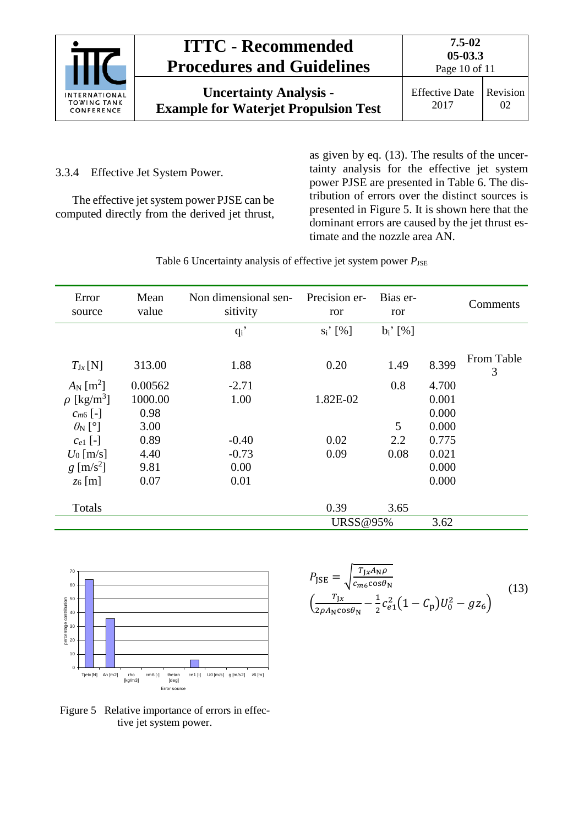|                                                          | <b>ITTC - Recommended</b><br><b>Procedures and Guidelines</b>                | $7.5 - 02$<br>$05-03.3$<br>Page 10 of 11 |                |  |
|----------------------------------------------------------|------------------------------------------------------------------------------|------------------------------------------|----------------|--|
| <b>INTERNATIONAL</b><br><b>TOWING TANK</b><br>CONFERENCE | <b>Uncertainty Analysis -</b><br><b>Example for Waterjet Propulsion Test</b> | <b>Effective Date</b><br>2017            | Revision<br>02 |  |

<span id="page-9-0"></span>3.3.4 Effective Jet System Power.

The effective jet system power PJSE can be computed directly from the derived jet thrust, as given by eq. (13). The results of the uncertainty analysis for the effective jet system power PJSE are presented in Table 6. The distribution of errors over the distinct sources is presented in Figure 5. It is shown here that the dominant errors are caused by the jet thrust estimate and the nozzle area AN.

Table 6 Uncertainty analysis of effective jet system power  $P_{\text{JSE}}$ 

| Error<br>source             | Mean<br>value | Non dimensional sen-<br>sitivity | Precision er-<br>ror | Bias er-<br>ror |       | Comments        |
|-----------------------------|---------------|----------------------------------|----------------------|-----------------|-------|-----------------|
|                             |               | $q_i$                            | $s_i'$ [%]           | $b_i'$ [%]      |       |                 |
| $T_{\text{Jx}}[\text{N}]$   | 313.00        | 1.88                             | 0.20                 | 1.49            | 8.399 | From Table<br>3 |
| $A_N$ [m <sup>2</sup> ]     | 0.00562       | $-2.71$                          |                      | 0.8             | 4.700 |                 |
| $\rho$ [kg/m <sup>3</sup> ] | 1000.00       | 1.00                             | 1.82E-02             |                 | 0.001 |                 |
| $C_{m6}$ [-]                | 0.98          |                                  |                      |                 | 0.000 |                 |
| $\theta_N$ [°]              | 3.00          |                                  |                      | 5               | 0.000 |                 |
| $c_{e1}$ [-]                | 0.89          | $-0.40$                          | 0.02                 | 2.2             | 0.775 |                 |
| $U_0$ [m/s]                 | 4.40          | $-0.73$                          | 0.09                 | 0.08            | 0.021 |                 |
| $g \,[\mathrm{m/s^2}]$      | 9.81          | 0.00                             |                      |                 | 0.000 |                 |
| $z_6$ [m]                   | 0.07          | 0.01                             |                      |                 | 0.000 |                 |
| Totals                      |               |                                  | 0.39                 | 3.65            |       |                 |
|                             |               |                                  | <b>URSS@95%</b>      |                 | 3.62  |                 |



 $P_{\text{JSE}} = \sqrt{\frac{T_{\text{J}x}A_{\text{N}}\rho}{c_{m6}\text{cos}\theta_{\text{N}}}}$  $\left(\frac{T_{Jx}}{2\rho A_N \cos\theta_N} - \frac{1}{2}c_{e1}^2(1-C_p)U_0^2 - gz_6\right)$ (13)

Figure 5 Relative importance of errors in effective jet system power.